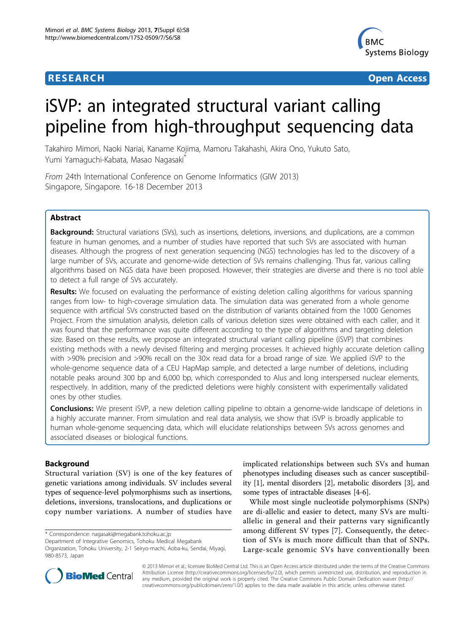# **RESEARCH CONSTRUCTION CONSTRUCTS**



# iSVP: an integrated structural variant calling pipeline from high-throughput sequencing data

Takahiro Mimori, Naoki Nariai, Kaname Kojima, Mamoru Takahashi, Akira Ono, Yukuto Sato, Yumi Yamaguchi-Kabata, Masao Nagasaki\*

From 24th International Conference on Genome Informatics (GIW 2013) Singapore, Singapore. 16-18 December 2013

# Abstract

Background: Structural variations (SVs), such as insertions, deletions, inversions, and duplications, are a common feature in human genomes, and a number of studies have reported that such SVs are associated with human diseases. Although the progress of next generation sequencing (NGS) technologies has led to the discovery of a large number of SVs, accurate and genome-wide detection of SVs remains challenging. Thus far, various calling algorithms based on NGS data have been proposed. However, their strategies are diverse and there is no tool able to detect a full range of SVs accurately.

Results: We focused on evaluating the performance of existing deletion calling algorithms for various spanning ranges from low- to high-coverage simulation data. The simulation data was generated from a whole genome sequence with artificial SVs constructed based on the distribution of variants obtained from the 1000 Genomes Project. From the simulation analysis, deletion calls of various deletion sizes were obtained with each caller, and it was found that the performance was quite different according to the type of algorithms and targeting deletion size. Based on these results, we propose an integrated structural variant calling pipeline (iSVP) that combines existing methods with a newly devised filtering and merging processes. It achieved highly accurate deletion calling with >90% precision and >90% recall on the 30x read data for a broad range of size. We applied iSVP to the whole-genome sequence data of a CEU HapMap sample, and detected a large number of deletions, including notable peaks around 300 bp and 6,000 bp, which corresponded to Alus and long interspersed nuclear elements, respectively. In addition, many of the predicted deletions were highly consistent with experimentally validated ones by other studies.

**Conclusions:** We present iSVP, a new deletion calling pipeline to obtain a genome-wide landscape of deletions in a highly accurate manner. From simulation and real data analysis, we show that iSVP is broadly applicable to human whole-genome sequencing data, which will elucidate relationships between SVs across genomes and associated diseases or biological functions.

# Background

980-8573, Japan

Structural variation (SV) is one of the key features of genetic variations among individuals. SV includes several types of sequence-level polymorphisms such as insertions, deletions, inversions, translocations, and duplications or copy number variations. A number of studies have

\* Correspondence: [nagasaki@megabank.tohoku.ac.jp](mailto:nagasaki@megabank.tohoku.ac.jp)

Department of Integrative Genomics, Tohoku Medical Megabank Organization, Tohoku University, 2-1 Seiryo-machi, Aoba-ku, Sendai, Miyagi, implicated relationships between such SVs and human phenotypes including diseases such as cancer susceptibility [\[1](#page-7-0)], mental disorders [[2\]](#page-7-0), metabolic disorders [\[3](#page-7-0)], and some types of intractable diseases [\[4](#page-7-0)-[6](#page-7-0)].

While most single nucleotide polymorphisms (SNPs) are di-allelic and easier to detect, many SVs are multiallelic in general and their patterns vary significantly among different SV types [\[7](#page-7-0)]. Consequently, the detection of SVs is much more difficult than that of SNPs. Large-scale genomic SVs have conventionally been



© 2013 Mimori et al.; licensee BioMed Central Ltd. This is an Open Access article distributed under the terms of the Creative Commons Attribution License [\(http://creativecommons.org/licenses/by/2.0](http://creativecommons.org/licenses/by/2.0)), which permits unrestricted use, distribution, and reproduction in any medium, provided the original work is properly cited. The Creative Commons Public Domain Dedication waiver [\(http://](http://creativecommons.org/publicdomain/zero/1.0/) [creativecommons.org/publicdomain/zero/1.0/](http://creativecommons.org/publicdomain/zero/1.0/)) applies to the data made available in this article, unless otherwise stated.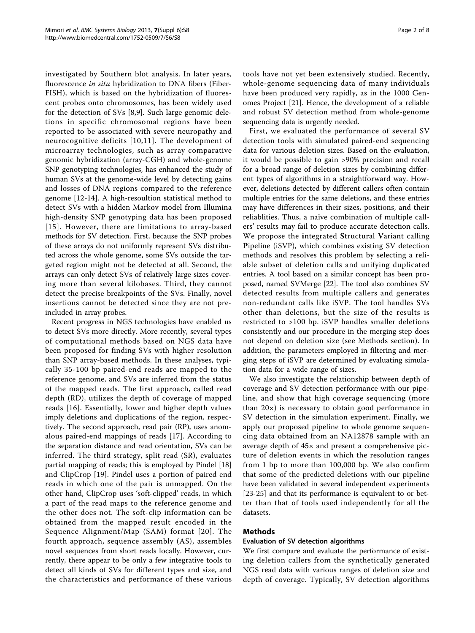investigated by Southern blot analysis. In later years, fluorescence in situ hybridization to DNA fibers (Fiber-FISH), which is based on the hybridization of fluorescent probes onto chromosomes, has been widely used for the detection of SVs [[8,9\]](#page-7-0). Such large genomic deletions in specific chromosomal regions have been reported to be associated with severe neuropathy and neurocognitive deficits [[10](#page-7-0),[11](#page-7-0)]. The development of microarray technologies, such as array comparative genomic hybridization (array-CGH) and whole-genome SNP genotyping technologies, has enhanced the study of human SVs at the genome-wide level by detecting gains and losses of DNA regions compared to the reference genome [[12-14](#page-7-0)]. A high-resoultion statistical method to detect SVs with a hidden Markov model from Illumina high-density SNP genotyping data has been proposed [[15](#page-7-0)]. However, there are limitations to array-based methods for SV detection. First, because the SNP probes of these arrays do not uniformly represent SVs distributed across the whole genome, some SVs outside the targeted region might not be detected at all. Second, the arrays can only detect SVs of relatively large sizes covering more than several kilobases. Third, they cannot detect the precise breakpoints of the SVs. Finally, novel insertions cannot be detected since they are not preincluded in array probes.

Recent progress in NGS technologies have enabled us to detect SVs more directly. More recently, several types of computational methods based on NGS data have been proposed for finding SVs with higher resolution than SNP array-based methods. In these analyses, typically 35-100 bp paired-end reads are mapped to the reference genome, and SVs are inferred from the status of the mapped reads. The first approach, called read depth (RD), utilizes the depth of coverage of mapped reads [[16\]](#page-7-0). Essentially, lower and higher depth values imply deletions and duplications of the region, respectively. The second approach, read pair (RP), uses anomalous paired-end mappings of reads [[17\]](#page-7-0). According to the separation distance and read orientation, SVs can be inferred. The third strategy, split read (SR), evaluates partial mapping of reads; this is employed by Pindel [[18](#page-7-0)] and ClipCrop [[19](#page-7-0)]. Pindel uses a portion of paired end reads in which one of the pair is unmapped. On the other hand, ClipCrop uses 'soft-clipped' reads, in which a part of the read maps to the reference genome and the other does not. The soft-clip information can be obtained from the mapped result encoded in the Sequence Alignment/Map (SAM) format [[20\]](#page-7-0). The fourth approach, sequence assembly (AS), assembles novel sequences from short reads locally. However, currently, there appear to be only a few integrative tools to detect all kinds of SVs for different types and size, and the characteristics and performance of these various tools have not yet been extensively studied. Recently, whole-genome sequencing data of many individuals have been produced very rapidly, as in the 1000 Genomes Project [\[21](#page-7-0)]. Hence, the development of a reliable and robust SV detection method from whole-genome sequencing data is urgently needed.

First, we evaluated the performance of several SV detection tools with simulated paired-end sequencing data for various deletion sizes. Based on the evaluation, it would be possible to gain >90% precision and recall for a broad range of deletion sizes by combining different types of algorithms in a straightforward way. However, deletions detected by different callers often contain multiple entries for the same deletions, and these entries may have differences in their sizes, positions, and their reliablities. Thus, a naïve combination of multiple callers' results may fail to produce accurate detection calls. We propose the integrated Structural Variant calling Pipeline (iSVP), which combines existing SV detection methods and resolves this problem by selecting a reliable subset of deletion calls and unifying duplicated entries. A tool based on a similar concept has been proposed, named SVMerge [[22\]](#page-7-0). The tool also combines SV detected results from multiple callers and generates non-redundant calls like iSVP. The tool handles SVs other than deletions, but the size of the results is restricted to >100 bp. iSVP handles smaller deletions consistently and our procedure in the merging step does not depend on deletion size (see Methods section). In addition, the parameters employed in filtering and merging steps of iSVP are determined by evaluating simulation data for a wide range of sizes.

We also investigate the relationship between depth of coverage and SV detection performance with our pipeline, and show that high coverage sequencing (more than 20×) is necessary to obtain good performance in SV detection in the simulation experiment. Finally, we apply our proposed pipeline to whole genome sequencing data obtained from an NA12878 sample with an average depth of 45× and present a comprehensive picture of deletion events in which the resolution ranges from 1 bp to more than 100,000 bp. We also confirm that some of the predicted deletions with our pipeline have been validated in several independent experiments [[23-25](#page-7-0)] and that its performance is equivalent to or better than that of tools used independently for all the datasets.

# Methods

# Evaluation of SV detection algorithms

We first compare and evaluate the performance of existing deletion callers from the synthetically generated NGS read data with various ranges of deletion size and depth of coverage. Typically, SV detection algorithms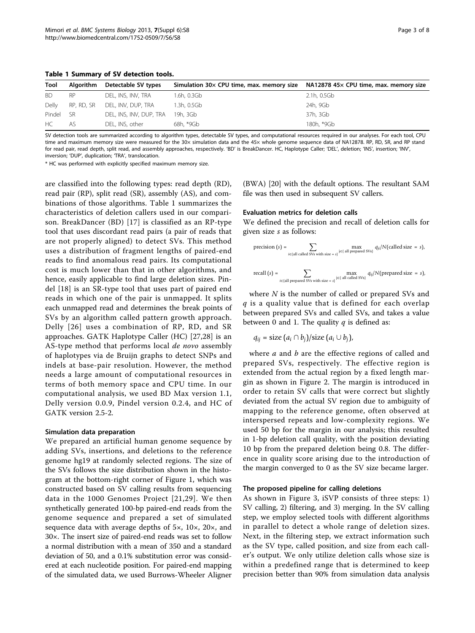<span id="page-2-0"></span>Table 1 Summary of SV detection tools.

| Page 3 of 8 |  |  |
|-------------|--|--|
|-------------|--|--|

| Tool   | Algorithm  | Detectable SV types     | Simulation $30\times$ CPU time, max. memory size $N=$ NA12878 45 $\times$ CPU time, max. memory size |             |
|--------|------------|-------------------------|------------------------------------------------------------------------------------------------------|-------------|
| BD.    | <b>RP</b>  | DEL, INS, INV, TRA      | 1.6h, 0.3Gb                                                                                          | 2.1h, 0.5Gb |
| Delly  | RP, RD, SR | DEL, INV, DUP, TRA      | 1.3h, 0.5Gb                                                                                          | 24h, 9Gb    |
| Pindel | - SR       | DEL, INS, INV, DUP, TRA | 19h. 3Gb                                                                                             | 37h, 3Gb    |
| HC .   | AS.        | DEL, INS, other         | 68h, *9Gb                                                                                            | 180h, *9Gb  |

SV detection tools are summarized according to algorithm types, detectable SV types, and computational resources required in our analyses. For each tool, CPU time and maximum memory size were measured for the 30x simulation data and the 45x whole genome sequence data of NA12878. RP, RD, SR, and RP stand for read pair, read depth, split read, and assembly approaches, respectively. 'BD' is BreakDancer. HC, Haplotype Caller; 'DEL', deletion; 'INS', insertion; 'INV', inversion; 'DUP', duplication; 'TRA', translocation.

\* HC was performed with explicitly specified maximum memory size.

are classified into the following types: read depth (RD), read pair (RP), split read (SR), assembly (AS), and combinations of those algorithms. Table 1 summarizes the characteristics of deletion callers used in our comparison. BreakDancer (BD) [\[17\]](#page-7-0) is classified as an RP-type tool that uses discordant read pairs (a pair of reads that are not properly aligned) to detect SVs. This method uses a distribution of fragment lengths of paired-end reads to find anomalous read pairs. Its computational cost is much lower than that in other algorithms, and hence, easily applicable to find large deletion sizes. Pindel [[18](#page-7-0)] is an SR-type tool that uses part of paired end reads in which one of the pair is unmapped. It splits each unmapped read and determines the break points of SVs by an algorithm called pattern growth approach. Delly [[26](#page-7-0)] uses a combination of RP, RD, and SR approaches. GATK Haplotype Caller (HC) [[27,28](#page-7-0)] is an AS-type method that performs local de novo assembly of haplotypes via de Bruijn graphs to detect SNPs and indels at base-pair resolution. However, the method needs a large amount of computational resources in terms of both memory space and CPU time. In our computational analysis, we used BD Max version 1.1, Delly version 0.0.9, Pindel version 0.2.4, and HC of GATK version 2.5-2.

#### Simulation data preparation

We prepared an artificial human genome sequence by adding SVs, insertions, and deletions to the reference genome hg19 at randomly selected regions. The size of the SVs follows the size distribution shown in the histogram at the bottom-right corner of Figure [1,](#page-3-0) which was constructed based on SV calling results from sequencing data in the 1000 Genomes Project [[21](#page-7-0),[29](#page-7-0)]. We then synthetically generated 100-bp paired-end reads from the genome sequence and prepared a set of simulated sequence data with average depths of 5×, 10×, 20×, and 30×. The insert size of paired-end reads was set to follow a normal distribution with a mean of 350 and a standard deviation of 50, and a 0.1% substitution error was considered at each nucleotide position. For paired-end mapping of the simulated data, we used Burrows-Wheeler Aligner

(BWA) [[20\]](#page-7-0) with the default options. The resultant SAM file was then used in subsequent SV callers.

# Evaluation metrics for deletion calls

We defined the precision and recall of deletion calls for given size s as follows:

precision (s) = 
$$
\sum_{i \in \text{all called SVs with size } = s} \max_{j \in \text{all prepared SVs}} q_{ij}/N \text{(called size } = s),
$$
  
recall (s) = 
$$
\sum_{i \in \text{all prepared SVs with size } = s} \max_{j \in \text{all called SVs}} q_{ij}/N \text{(prepared size } = s),
$$

where  $N$  is the number of called or prepared SVs and  $q$  is a quality value that is defined for each overlap between prepared SVs and called SVs, and takes a value between 0 and 1. The quality  $q$  is defined as:

$$
q_{ij} = \text{size}(a_i \cap b_j)/\text{size}(a_i \cup b_j),
$$

where  $a$  and  $b$  are the effective regions of called and prepared SVs, respectively. The effective region is extended from the actual region by a fixed length margin as shown in Figure [2](#page-3-0). The margin is introduced in order to retain SV calls that were correct but slightly deviated from the actual SV region due to ambiguity of mapping to the reference genome, often observed at interspersed repeats and low-complexity regions. We used 50 bp for the margin in our analysis; this resulted in 1-bp deletion call quality, with the position deviating 10 bp from the prepared deletion being 0.8. The difference in quality score arising due to the introduction of the margin converged to 0 as the SV size became larger.

#### The proposed pipeline for calling deletions

As shown in Figure [3](#page-4-0), iSVP consists of three steps: 1) SV calling, 2) filtering, and 3) merging. In the SV calling step, we employ selected tools with different algorithms in parallel to detect a whole range of deletion sizes. Next, in the filtering step, we extract information such as the SV type, called position, and size from each caller's output. We only utilize deletion calls whose size is within a predefined range that is determined to keep precision better than 90% from simulation data analysis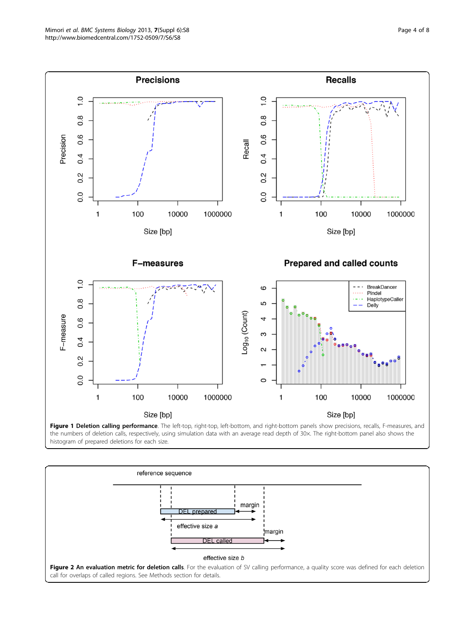<span id="page-3-0"></span>



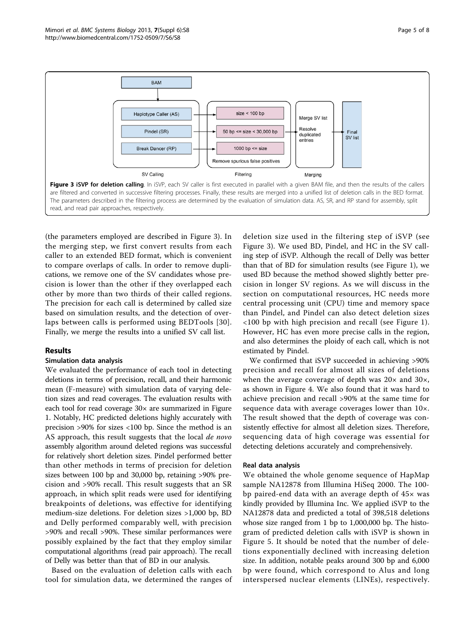<span id="page-4-0"></span>

(the parameters employed are described in Figure 3). In the merging step, we first convert results from each caller to an extended BED format, which is convenient to compare overlaps of calls. In order to remove duplications, we remove one of the SV candidates whose precision is lower than the other if they overlapped each other by more than two thirds of their called regions. The precision for each call is determined by called size based on simulation results, and the detection of overlaps between calls is performed using BEDTools [[30](#page-7-0)]. Finally, we merge the results into a unified SV call list.

# Results

# Simulation data analysis

We evaluated the performance of each tool in detecting deletions in terms of precision, recall, and their harmonic mean (F-measure) with simulation data of varying deletion sizes and read coverages. The evaluation results with each tool for read coverage 30× are summarized in Figure [1.](#page-3-0) Notably, HC predicted deletions highly accurately with precision >90% for sizes <100 bp. Since the method is an AS approach, this result suggests that the local de novo assembly algorithm around deleted regions was successful for relatively short deletion sizes. Pindel performed better than other methods in terms of precision for deletion sizes between 100 bp and 30,000 bp, retaining >90% precision and >90% recall. This result suggests that an SR approach, in which split reads were used for identifying breakpoints of deletions, was effective for identifying medium-size deletions. For deletion sizes >1,000 bp, BD and Delly performed comparably well, with precision >90% and recall >90%. These similar performances were possibly explained by the fact that they employ similar computational algorithms (read pair approach). The recall of Delly was better than that of BD in our analysis.

Based on the evaluation of deletion calls with each tool for simulation data, we determined the ranges of

deletion size used in the filtering step of iSVP (see Figure 3). We used BD, Pindel, and HC in the SV calling step of iSVP. Although the recall of Delly was better than that of BD for simulation results (see Figure [1\)](#page-3-0), we used BD because the method showed slightly better precision in longer SV regions. As we will discuss in the section on computational resources, HC needs more central processing unit (CPU) time and memory space than Pindel, and Pindel can also detect deletion sizes <100 bp with high precision and recall (see Figure [1](#page-3-0)). However, HC has even more precise calls in the region, and also determines the ploidy of each call, which is not estimated by Pindel.

We confirmed that iSVP succeeded in achieving >90% precision and recall for almost all sizes of deletions when the average coverage of depth was  $20\times$  and  $30\times$ , as shown in Figure [4.](#page-5-0) We also found that it was hard to achieve precision and recall >90% at the same time for sequence data with average coverages lower than 10×. The result showed that the depth of coverage was consistently effective for almost all deletion sizes. Therefore, sequencing data of high coverage was essential for detecting deletions accurately and comprehensively.

# Real data analysis

We obtained the whole genome sequence of HapMap sample NA12878 from Illumina HiSeq 2000. The 100 bp paired-end data with an average depth of  $45\times$  was kindly provided by Illumina Inc. We applied iSVP to the NA12878 data and predicted a total of 398,518 deletions whose size ranged from 1 bp to 1,000,000 bp. The histogram of predicted deletion calls with iSVP is shown in Figure [5.](#page-6-0) It should be noted that the number of deletions exponentially declined with increasing deletion size. In addition, notable peaks around 300 bp and 6,000 bp were found, which correspond to Alus and long interspersed nuclear elements (LINEs), respectively.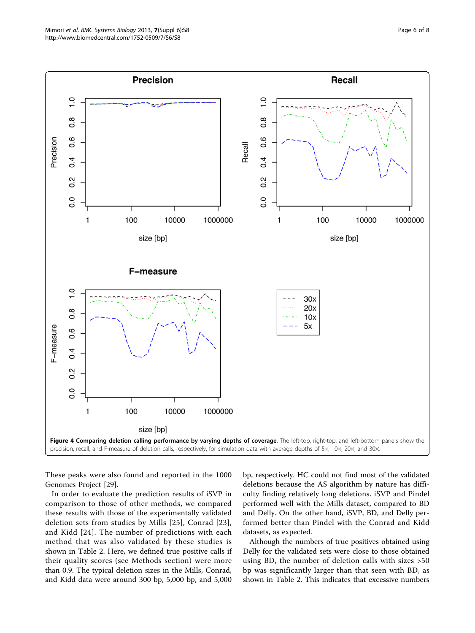<span id="page-5-0"></span>

These peaks were also found and reported in the 1000 Genomes Project [\[29](#page-7-0)].

In order to evaluate the prediction results of iSVP in comparison to those of other methods, we compared these results with those of the experimentally validated deletion sets from studies by Mills [[25](#page-7-0)], Conrad [[23\]](#page-7-0), and Kidd [\[24\]](#page-7-0). The number of predictions with each method that was also validated by these studies is shown in Table [2](#page-6-0). Here, we defined true positive calls if their quality scores (see Methods section) were more than 0.9. The typical deletion sizes in the Mills, Conrad, and Kidd data were around 300 bp, 5,000 bp, and 5,000 bp, respectively. HC could not find most of the validated deletions because the AS algorithm by nature has difficulty finding relatively long deletions. iSVP and Pindel performed well with the Mills dataset, compared to BD and Delly. On the other hand, iSVP, BD, and Delly performed better than Pindel with the Conrad and Kidd datasets, as expected.

Although the numbers of true positives obtained using Delly for the validated sets were close to those obtained using BD, the number of deletion calls with sizes >50 bp was significantly larger than that seen with BD, as shown in Table [2.](#page-6-0) This indicates that excessive numbers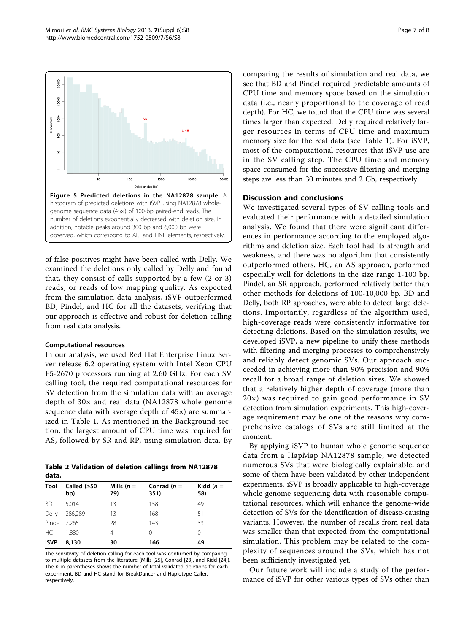<span id="page-6-0"></span>

of false positives might have been called with Delly. We examined the deletions only called by Delly and found that, they consist of calls supported by a few (2 or 3) reads, or reads of low mapping quality. As expected from the simulation data analysis, iSVP outperformed BD, Pindel, and HC for all the datasets, verifying that our approach is effective and robust for deletion calling from real data analysis.

#### Computational resources

In our analysis, we used Red Hat Enterprise Linux Server release 6.2 operating system with Intel Xeon CPU E5-2670 processors running at 2.60 GHz. For each SV calling tool, the required computational resources for SV detection from the simulation data with an average depth of 30× and real data (NA12878 whole genome sequence data with average depth of 45×) are summarized in Table [1.](#page-2-0) As mentioned in the Background section, the largest amount of CPU time was required for AS, followed by SR and RP, using simulation data. By

Table 2 Validation of deletion callings from NA12878 data.

| Tool         | Called $(≥50$<br>bp) | Mills $(n =$<br>79) | Conrad $(n =$<br>351) | Kidd $(n =$<br>58) |
|--------------|----------------------|---------------------|-----------------------|--------------------|
| <b>BD</b>    | 5.014                | 13                  | 158                   | 49                 |
| Delly        | 286,289              | 13                  | 168                   | 51                 |
| Pindel 7.265 |                      | 28                  | 143                   | 33                 |
| HC.          | 1.880                | 4                   | 0                     | 0                  |
| iSVP         | 8,130                | 30                  | 166                   | 49                 |

The sensitivity of deletion calling for each tool was confirmed by comparing to multiple datasets from the literature (Mills [\[25\]](#page-7-0), Conrad [[23\]](#page-7-0), and Kidd [[24\]](#page-7-0)). The  $n$  in parentheses shows the number of total validated deletions for each experiment. BD and HC stand for BreakDancer and Haplotype Caller, respectively.

comparing the results of simulation and real data, we see that BD and Pindel required predictable amounts of CPU time and memory space based on the simulation data (i.e., nearly proportional to the coverage of read depth). For HC, we found that the CPU time was several times larger than expected. Delly required relatively larger resources in terms of CPU time and maximum memory size for the real data (see Table [1\)](#page-2-0). For iSVP, most of the computational resources that iSVP use are in the SV calling step. The CPU time and memory space consumed for the successive filtering and merging steps are less than 30 minutes and 2 Gb, respectively.

# Discussion and conclusions

We investigated several types of SV calling tools and evaluated their performance with a detailed simulation analysis. We found that there were significant differences in performance according to the employed algorithms and deletion size. Each tool had its strength and weakness, and there was no algorithm that consistently outperformed others. HC, an AS approach, performed especially well for deletions in the size range 1-100 bp. Pindel, an SR approach, performed relatively better than other methods for deletions of 100-10,000 bp. BD and Delly, both RP aproaches, were able to detect large deletions. Importantly, regardless of the algorithm used, high-coverage reads were consistently informative for detecting deletions. Based on the simulation results, we developed iSVP, a new pipeline to unify these methods with filtering and merging processes to comprehensively and reliably detect genomic SVs. Our approach succeeded in achieving more than 90% precision and 90% recall for a broad range of deletion sizes. We showed that a relatively higher depth of coverage (more than 20×) was required to gain good performance in SV detection from simulation experiments. This high-coverage requirement may be one of the reasons why comprehensive catalogs of SVs are still limited at the moment.

By applying iSVP to human whole genome sequence data from a HapMap NA12878 sample, we detected numerous SVs that were biologically explainable, and some of them have been validated by other independent experiments. iSVP is broadly applicable to high-coverage whole genome sequencing data with reasonable computational resources, which will enhance the genome-wide detection of SVs for the identification of disease-causing variants. However, the number of recalls from real data was smaller than that expected from the computational simulation. This problem may be related to the complexity of sequences around the SVs, which has not been sufficiently investigated yet.

Our future work will include a study of the performance of iSVP for other various types of SVs other than